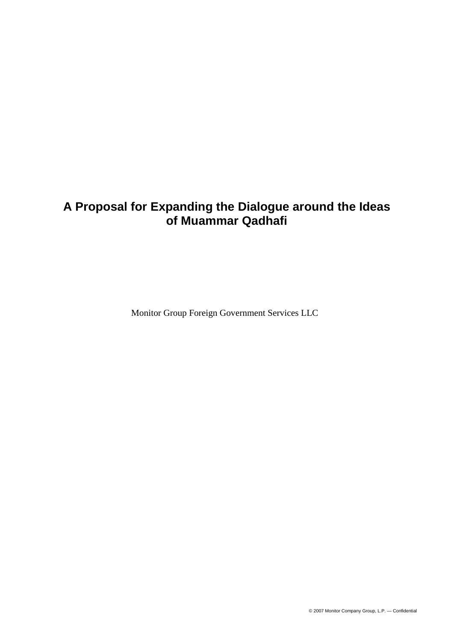# **A Proposal for Expanding the Dialogue around the Ideas of Muammar Qadhafi**

Monitor Group Foreign Government Services LLC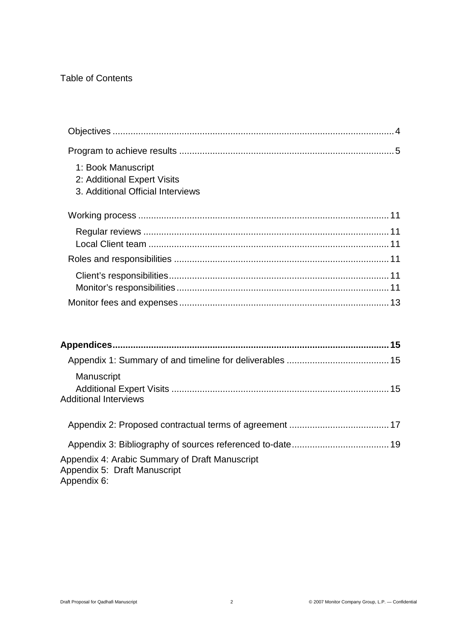## Table of Contents

| 1: Book Manuscript<br>2: Additional Expert Visits<br>3. Additional Official Interviews |  |
|----------------------------------------------------------------------------------------|--|
|                                                                                        |  |
|                                                                                        |  |
|                                                                                        |  |
|                                                                                        |  |
|                                                                                        |  |
|                                                                                        |  |
|                                                                                        |  |
|                                                                                        |  |
|                                                                                        |  |

|                                                                                | 15 |
|--------------------------------------------------------------------------------|----|
|                                                                                |    |
| Manuscript                                                                     |    |
| <b>Additional Interviews</b>                                                   |    |
|                                                                                |    |
|                                                                                |    |
| Appendix 4: Arabic Summary of Draft Manuscript<br>Annandiv 5: Draft Manuscript |    |

Appendix 5: Draft Manuscript Appendix 6: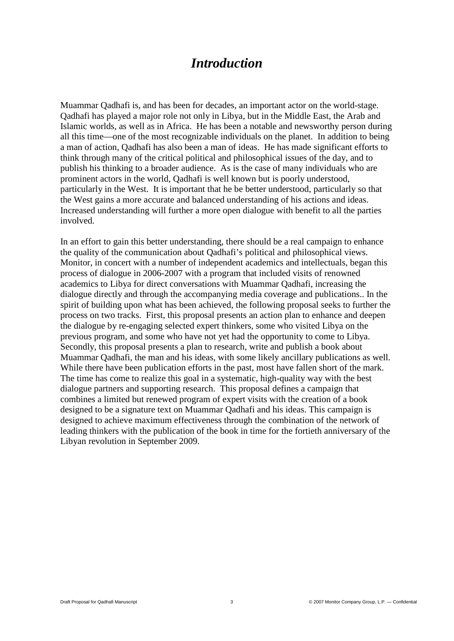# *Introduction*

Muammar Qadhafi is, and has been for decades, an important actor on the world-stage. Qadhafi has played a major role not only in Libya, but in the Middle East, the Arab and Islamic worlds, as well as in Africa. He has been a notable and newsworthy person during all this time—one of the most recognizable individuals on the planet. In addition to being a man of action, Qadhafi has also been a man of ideas. He has made significant efforts to think through many of the critical political and philosophical issues of the day, and to publish his thinking to a broader audience. As is the case of many individuals who are prominent actors in the world, Qadhafi is well known but is poorly understood, particularly in the West. It is important that he be better understood, particularly so that the West gains a more accurate and balanced understanding of his actions and ideas. Increased understanding will further a more open dialogue with benefit to all the parties involved.

In an effort to gain this better understanding, there should be a real campaign to enhance the quality of the communication about Qadhafi's political and philosophical views. Monitor, in concert with a number of independent academics and intellectuals, began this process of dialogue in 2006-2007 with a program that included visits of renowned academics to Libya for direct conversations with Muammar Qadhafi, increasing the dialogue directly and through the accompanying media coverage and publications.. In the spirit of building upon what has been achieved, the following proposal seeks to further the process on two tracks. First, this proposal presents an action plan to enhance and deepen the dialogue by re-engaging selected expert thinkers, some who visited Libya on the previous program, and some who have not yet had the opportunity to come to Libya. Secondly, this proposal presents a plan to research, write and publish a book about Muammar Qadhafi, the man and his ideas, with some likely ancillary publications as well. While there have been publication efforts in the past, most have fallen short of the mark. The time has come to realize this goal in a systematic, high-quality way with the best dialogue partners and supporting research. This proposal defines a campaign that combines a limited but renewed program of expert visits with the creation of a book designed to be a signature text on Muammar Qadhafi and his ideas. This campaign is designed to achieve maximum effectiveness through the combination of the network of leading thinkers with the publication of the book in time for the fortieth anniversary of the Libyan revolution in September 2009.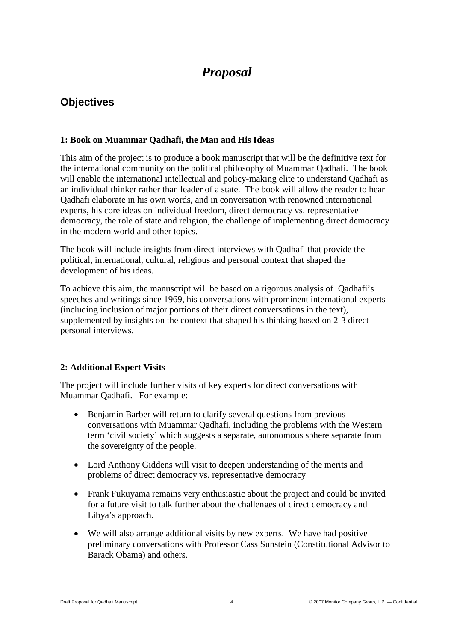# *Proposal*

## **Objectives**

#### **1: Book on Muammar Qadhafi, the Man and His Ideas**

This aim of the project is to produce a book manuscript that will be the definitive text for the international community on the political philosophy of Muammar Qadhafi. The book will enable the international intellectual and policy-making elite to understand Qadhafi as an individual thinker rather than leader of a state. The book will allow the reader to hear Qadhafi elaborate in his own words, and in conversation with renowned international experts, his core ideas on individual freedom, direct democracy vs. representative democracy, the role of state and religion, the challenge of implementing direct democracy in the modern world and other topics.

The book will include insights from direct interviews with Qadhafi that provide the political, international, cultural, religious and personal context that shaped the development of his ideas.

To achieve this aim, the manuscript will be based on a rigorous analysis of Qadhafi's speeches and writings since 1969, his conversations with prominent international experts (including inclusion of major portions of their direct conversations in the text), supplemented by insights on the context that shaped his thinking based on 2-3 direct personal interviews.

### **2: Additional Expert Visits**

The project will include further visits of key experts for direct conversations with Muammar Qadhafi. For example:

- Benjamin Barber will return to clarify several questions from previous conversations with Muammar Qadhafi, including the problems with the Western term 'civil society' which suggests a separate, autonomous sphere separate from the sovereignty of the people.
- Lord Anthony Giddens will visit to deepen understanding of the merits and problems of direct democracy vs. representative democracy
- Frank Fukuyama remains very enthusiastic about the project and could be invited for a future visit to talk further about the challenges of direct democracy and Libya's approach.
- We will also arrange additional visits by new experts. We have had positive preliminary conversations with Professor Cass Sunstein (Constitutional Advisor to Barack Obama) and others.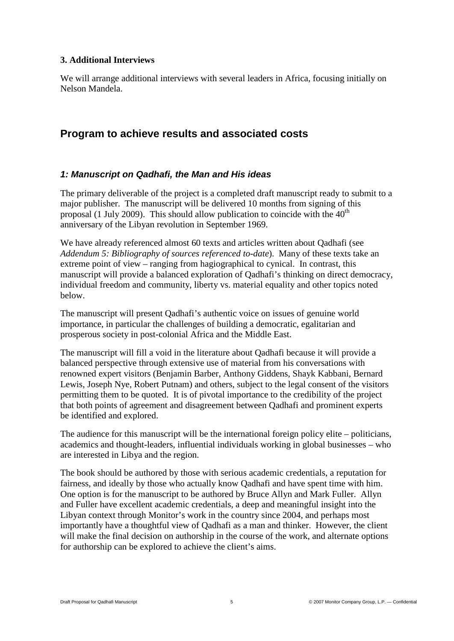#### **3. Additional Interviews**

We will arrange additional interviews with several leaders in Africa, focusing initially on Nelson Mandela.

## **Program to achieve results and associated costs**

### *1: Manuscript on Qadhafi, the Man and His ideas*

The primary deliverable of the project is a completed draft manuscript ready to submit to a major publisher. The manuscript will be delivered 10 months from signing of this proposal (1 July 2009). This should allow publication to coincide with the  $40<sup>th</sup>$ anniversary of the Libyan revolution in September 1969.

We have already referenced almost 60 texts and articles written about Qadhafi (see *Addendum 5: Bibliography of sources referenced to-date*). Many of these texts take an extreme point of view – ranging from hagiographical to cynical. In contrast, this manuscript will provide a balanced exploration of Qadhafi's thinking on direct democracy, individual freedom and community, liberty vs. material equality and other topics noted below.

The manuscript will present Qadhafi's authentic voice on issues of genuine world importance, in particular the challenges of building a democratic, egalitarian and prosperous society in post-colonial Africa and the Middle East.

The manuscript will fill a void in the literature about Qadhafi because it will provide a balanced perspective through extensive use of material from his conversations with renowned expert visitors (Benjamin Barber, Anthony Giddens, Shayk Kabbani, Bernard Lewis, Joseph Nye, Robert Putnam) and others, subject to the legal consent of the visitors permitting them to be quoted. It is of pivotal importance to the credibility of the project that both points of agreement and disagreement between Qadhafi and prominent experts be identified and explored.

The audience for this manuscript will be the international foreign policy elite – politicians, academics and thought-leaders, influential individuals working in global businesses – who are interested in Libya and the region.

The book should be authored by those with serious academic credentials, a reputation for fairness, and ideally by those who actually know Qadhafi and have spent time with him. One option is for the manuscript to be authored by Bruce Allyn and Mark Fuller. Allyn and Fuller have excellent academic credentials, a deep and meaningful insight into the Libyan context through Monitor's work in the country since 2004, and perhaps most importantly have a thoughtful view of Qadhafi as a man and thinker. However, the client will make the final decision on authorship in the course of the work, and alternate options for authorship can be explored to achieve the client's aims.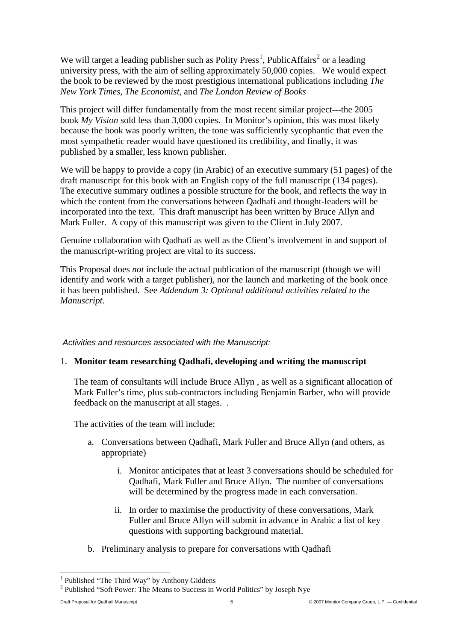We will target a leading publisher such as Polity Press<sup>[1](#page-5-0)</sup>, PublicAffairs<sup>[2](#page-5-0)</sup> or a leading university press, with the aim of selling approximately 50,000 copies. We would expect the book to be reviewed by the most prestigious international publications including *The New York Times*, *The Economist*, and *The London Review of Books*

This project will differ fundamentally from the most recent similar project---the 2005 book *My Vision* sold less than 3,000 copies. In Monitor's opinion, this was most likely because the book was poorly written, the tone was sufficiently sycophantic that even the most sympathetic reader would have questioned its credibility, and finally, it was published by a smaller, less known publisher.

We will be happy to provide a copy (in Arabic) of an executive summary (51 pages) of the draft manuscript for this book with an English copy of the full manuscript (134 pages). The executive summary outlines a possible structure for the book, and reflects the way in which the content from the conversations between Qadhafi and thought-leaders will be incorporated into the text. This draft manuscript has been written by Bruce Allyn and Mark Fuller. A copy of this manuscript was given to the Client in July 2007.

Genuine collaboration with Qadhafi as well as the Client's involvement in and support of the manuscript-writing project are vital to its success.

This Proposal does *not* include the actual publication of the manuscript (though we will identify and work with a target publisher), nor the launch and marketing of the book once it has been published. See *Addendum 3: Optional additional activities related to the Manuscript*.

#### *Activities and resources associated with the Manuscript:*

### 1. **Monitor team researching Qadhafi, developing and writing the manuscript**

The team of consultants will include Bruce Allyn , as well as a significant allocation of Mark Fuller's time, plus sub-contractors including Benjamin Barber, who will provide feedback on the manuscript at all stages. .

The activities of the team will include:

- a. Conversations between Qadhafi, Mark Fuller and Bruce Allyn (and others, as appropriate)
	- i. Monitor anticipates that at least 3 conversations should be scheduled for Qadhafi, Mark Fuller and Bruce Allyn. The number of conversations will be determined by the progress made in each conversation.
	- ii. In order to maximise the productivity of these conversations, Mark Fuller and Bruce Allyn will submit in advance in Arabic a list of key questions with supporting background material.
- b. Preliminary analysis to prepare for conversations with Qadhafi

<span id="page-5-0"></span> <sup>1</sup> Published "The Third Way" by Anthony Giddens

<sup>2</sup> Published "Soft Power: The Means to Success in World Politics" by Joseph Nye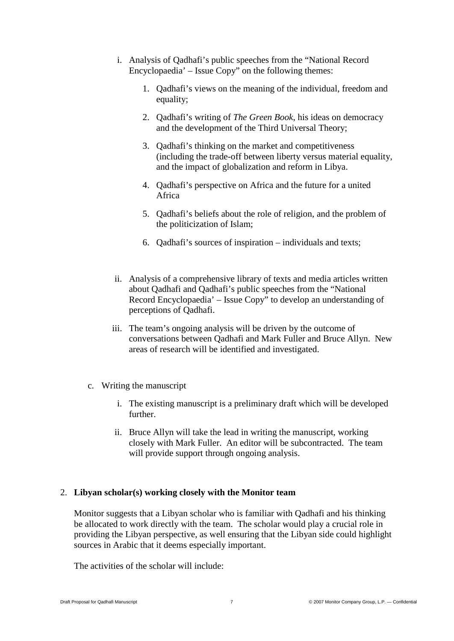- i. Analysis of Qadhafi's public speeches from the "National Record Encyclopaedia' – Issue Copy" on the following themes:
	- 1. Qadhafi's views on the meaning of the individual, freedom and equality;
	- 2. Qadhafi's writing of *The Green Book*, his ideas on democracy and the development of the Third Universal Theory;
	- 3. Qadhafi's thinking on the market and competitiveness (including the trade-off between liberty versus material equality, and the impact of globalization and reform in Libya.
	- 4. Qadhafi's perspective on Africa and the future for a united Africa
	- 5. Qadhafi's beliefs about the role of religion, and the problem of the politicization of Islam;
	- 6. Qadhafi's sources of inspiration individuals and texts;
- ii. Analysis of a comprehensive library of texts and media articles written about Qadhafi and Qadhafi's public speeches from the "National Record Encyclopaedia' – Issue Copy" to develop an understanding of perceptions of Qadhafi.
- iii. The team's ongoing analysis will be driven by the outcome of conversations between Qadhafi and Mark Fuller and Bruce Allyn. New areas of research will be identified and investigated.
- c. Writing the manuscript
	- i. The existing manuscript is a preliminary draft which will be developed further.
	- ii. Bruce Allyn will take the lead in writing the manuscript, working closely with Mark Fuller. An editor will be subcontracted. The team will provide support through ongoing analysis.

### 2. **Libyan scholar(s) working closely with the Monitor team**

Monitor suggests that a Libyan scholar who is familiar with Qadhafi and his thinking be allocated to work directly with the team. The scholar would play a crucial role in providing the Libyan perspective, as well ensuring that the Libyan side could highlight sources in Arabic that it deems especially important.

The activities of the scholar will include: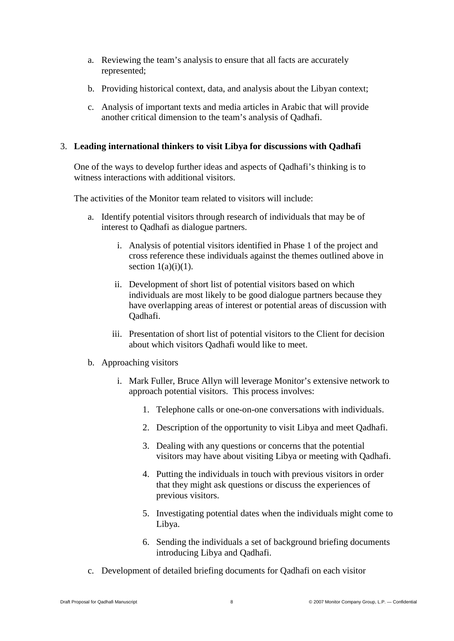- a. Reviewing the team's analysis to ensure that all facts are accurately represented;
- b. Providing historical context, data, and analysis about the Libyan context;
- c. Analysis of important texts and media articles in Arabic that will provide another critical dimension to the team's analysis of Qadhafi.

#### 3. **Leading international thinkers to visit Libya for discussions with Qadhafi**

One of the ways to develop further ideas and aspects of Qadhafi's thinking is to witness interactions with additional visitors.

The activities of the Monitor team related to visitors will include:

- a. Identify potential visitors through research of individuals that may be of interest to Qadhafi as dialogue partners.
	- i. Analysis of potential visitors identified in Phase 1 of the project and cross reference these individuals against the themes outlined above in section  $1(a)(i)(1)$ .
	- ii. Development of short list of potential visitors based on which individuals are most likely to be good dialogue partners because they have overlapping areas of interest or potential areas of discussion with Qadhafi.
	- iii. Presentation of short list of potential visitors to the Client for decision about which visitors Qadhafi would like to meet.
- b. Approaching visitors
	- i. Mark Fuller, Bruce Allyn will leverage Monitor's extensive network to approach potential visitors. This process involves:
		- 1. Telephone calls or one-on-one conversations with individuals.
		- 2. Description of the opportunity to visit Libya and meet Qadhafi.
		- 3. Dealing with any questions or concerns that the potential visitors may have about visiting Libya or meeting with Qadhafi.
		- 4. Putting the individuals in touch with previous visitors in order that they might ask questions or discuss the experiences of previous visitors.
		- 5. Investigating potential dates when the individuals might come to Libya.
		- 6. Sending the individuals a set of background briefing documents introducing Libya and Qadhafi.
- c. Development of detailed briefing documents for Qadhafi on each visitor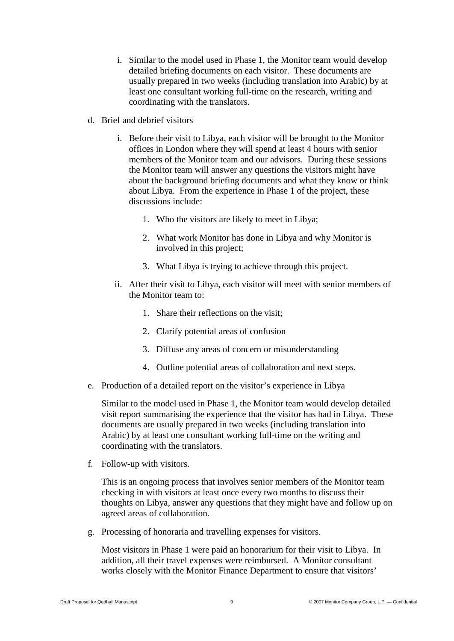- i. Similar to the model used in Phase 1, the Monitor team would develop detailed briefing documents on each visitor. These documents are usually prepared in two weeks (including translation into Arabic) by at least one consultant working full-time on the research, writing and coordinating with the translators.
- d. Brief and debrief visitors
	- i. Before their visit to Libya, each visitor will be brought to the Monitor offices in London where they will spend at least 4 hours with senior members of the Monitor team and our advisors. During these sessions the Monitor team will answer any questions the visitors might have about the background briefing documents and what they know or think about Libya. From the experience in Phase 1 of the project, these discussions include:
		- 1. Who the visitors are likely to meet in Libya;
		- 2. What work Monitor has done in Libya and why Monitor is involved in this project;
		- 3. What Libya is trying to achieve through this project.
	- ii. After their visit to Libya, each visitor will meet with senior members of the Monitor team to:
		- 1. Share their reflections on the visit;
		- 2. Clarify potential areas of confusion
		- 3. Diffuse any areas of concern or misunderstanding
		- 4. Outline potential areas of collaboration and next steps.
- e. Production of a detailed report on the visitor's experience in Libya

Similar to the model used in Phase 1, the Monitor team would develop detailed visit report summarising the experience that the visitor has had in Libya. These documents are usually prepared in two weeks (including translation into Arabic) by at least one consultant working full-time on the writing and coordinating with the translators.

f. Follow-up with visitors.

This is an ongoing process that involves senior members of the Monitor team checking in with visitors at least once every two months to discuss their thoughts on Libya, answer any questions that they might have and follow up on agreed areas of collaboration.

g. Processing of honoraria and travelling expenses for visitors.

Most visitors in Phase 1 were paid an honorarium for their visit to Libya. In addition, all their travel expenses were reimbursed. A Monitor consultant works closely with the Monitor Finance Department to ensure that visitors'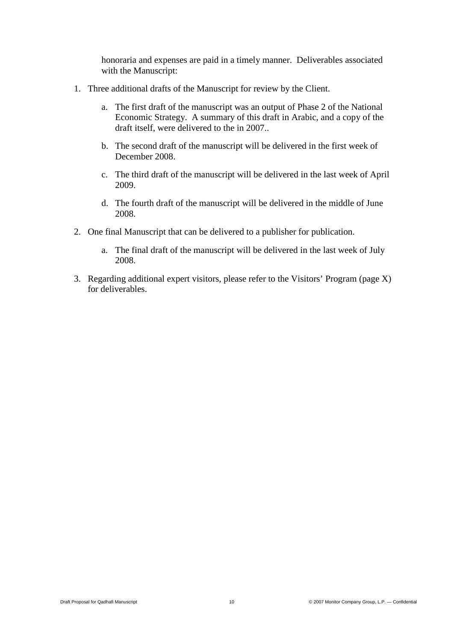honoraria and expenses are paid in a timely manner. Deliverables associated with the Manuscript:

- 1. Three additional drafts of the Manuscript for review by the Client.
	- a. The first draft of the manuscript was an output of Phase 2 of the National Economic Strategy. A summary of this draft in Arabic, and a copy of the draft itself, were delivered to the in 2007..
	- b. The second draft of the manuscript will be delivered in the first week of December 2008.
	- c. The third draft of the manuscript will be delivered in the last week of April 2009.
	- d. The fourth draft of the manuscript will be delivered in the middle of June 2008.
- 2. One final Manuscript that can be delivered to a publisher for publication.
	- a. The final draft of the manuscript will be delivered in the last week of July 2008.
- 3. Regarding additional expert visitors, please refer to the Visitors' Program (page X) for deliverables.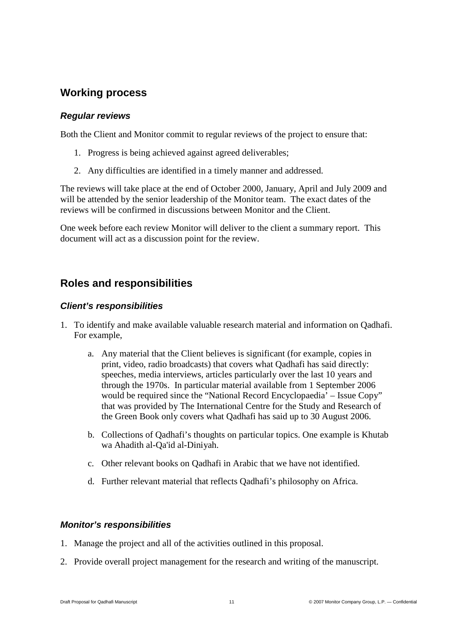## **Working process**

#### *Regular reviews*

Both the Client and Monitor commit to regular reviews of the project to ensure that:

- 1. Progress is being achieved against agreed deliverables;
- 2. Any difficulties are identified in a timely manner and addressed.

The reviews will take place at the end of October 2000, January, April and July 2009 and will be attended by the senior leadership of the Monitor team. The exact dates of the reviews will be confirmed in discussions between Monitor and the Client.

One week before each review Monitor will deliver to the client a summary report. This document will act as a discussion point for the review.

## **Roles and responsibilities**

### *Client's responsibilities*

- 1. To identify and make available valuable research material and information on Qadhafi. For example,
	- a. Any material that the Client believes is significant (for example, copies in print, video, radio broadcasts) that covers what Qadhafi has said directly: speeches, media interviews, articles particularly over the last 10 years and through the 1970s. In particular material available from 1 September 2006 would be required since the "National Record Encyclopaedia' – Issue Copy" that was provided by The International Centre for the Study and Research of the Green Book only covers what Qadhafi has said up to 30 August 2006.
	- b. Collections of Qadhafi's thoughts on particular topics. One example is Khutab wa Ahadith al-Qa'id al-Diniyah.
	- c. Other relevant books on Qadhafi in Arabic that we have not identified.
	- d. Further relevant material that reflects Qadhafi's philosophy on Africa.

### *Monitor's responsibilities*

- 1. Manage the project and all of the activities outlined in this proposal.
- 2. Provide overall project management for the research and writing of the manuscript.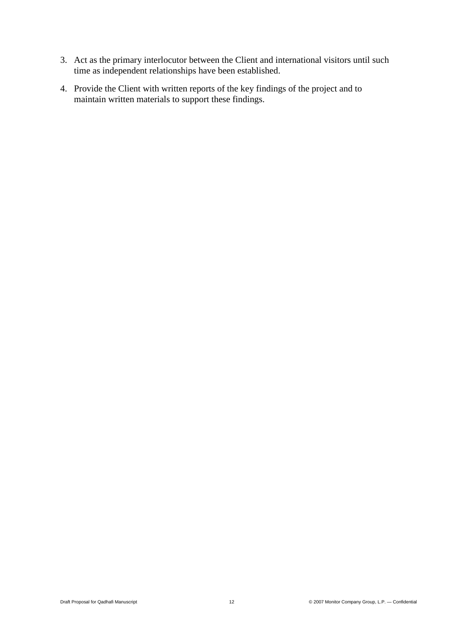- 3. Act as the primary interlocutor between the Client and international visitors until such time as independent relationships have been established.
- 4. Provide the Client with written reports of the key findings of the project and to maintain written materials to support these findings.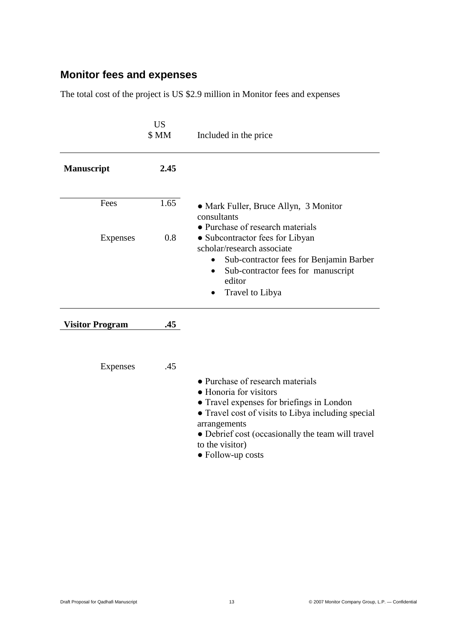# **Monitor fees and expenses**

The total cost of the project is US \$2.9 million in Monitor fees and expenses

|                        | <b>US</b><br>\$ MM | Included in the price                                                                                                                                                                                                                                                      |
|------------------------|--------------------|----------------------------------------------------------------------------------------------------------------------------------------------------------------------------------------------------------------------------------------------------------------------------|
| <b>Manuscript</b>      | 2.45               |                                                                                                                                                                                                                                                                            |
| Fees                   | 1.65               | • Mark Fuller, Bruce Allyn, 3 Monitor<br>consultants<br>• Purchase of research materials                                                                                                                                                                                   |
| Expenses               | 0.8                | • Subcontractor fees for Libyan<br>scholar/research associate<br>Sub-contractor fees for Benjamin Barber<br>٠<br>Sub-contractor fees for manuscript<br>$\bullet$<br>editor<br>Travel to Libya                                                                              |
| <b>Visitor Program</b> | .45                |                                                                                                                                                                                                                                                                            |
| Expenses               | .45                | • Purchase of research materials<br>• Honoria for visitors<br>• Travel expenses for briefings in London<br>• Travel cost of visits to Libya including special<br>arrangements<br>• Debrief cost (occasionally the team will travel<br>to the visitor)<br>• Follow-up costs |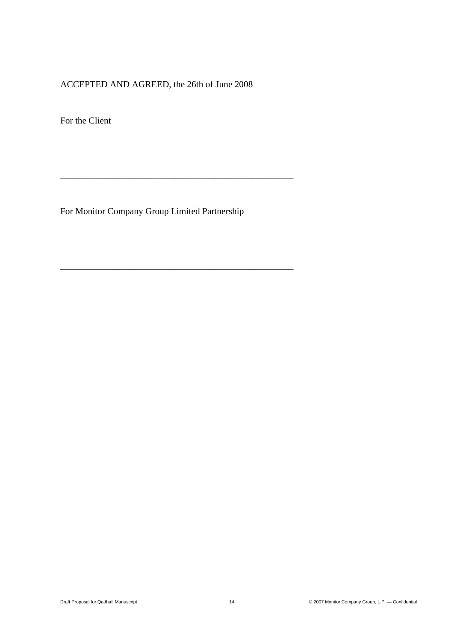### ACCEPTED AND AGREED, the 26th of June 2008

For the Client

For Monitor Company Group Limited Partnership

\_\_\_\_\_\_\_\_\_\_\_\_\_\_\_\_\_\_\_\_\_\_\_\_\_\_\_\_\_\_\_\_\_\_\_\_\_\_\_\_\_\_\_\_\_\_\_\_\_\_\_

\_\_\_\_\_\_\_\_\_\_\_\_\_\_\_\_\_\_\_\_\_\_\_\_\_\_\_\_\_\_\_\_\_\_\_\_\_\_\_\_\_\_\_\_\_\_\_\_\_\_\_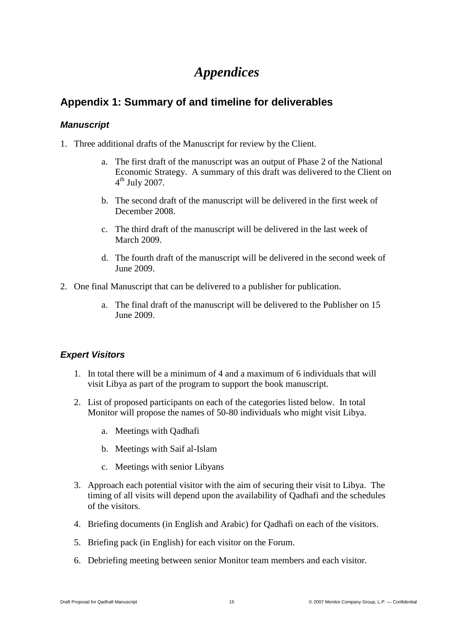# *Appendices*

## **Appendix 1: Summary of and timeline for deliverables**

#### *Manuscript*

- 1. Three additional drafts of the Manuscript for review by the Client.
	- a. The first draft of the manuscript was an output of Phase 2 of the National Economic Strategy. A summary of this draft was delivered to the Client on  $4^{\text{th}}$  July 2007.
	- b. The second draft of the manuscript will be delivered in the first week of December 2008.
	- c. The third draft of the manuscript will be delivered in the last week of March 2009.
	- d. The fourth draft of the manuscript will be delivered in the second week of June 2009.
- 2. One final Manuscript that can be delivered to a publisher for publication.
	- a. The final draft of the manuscript will be delivered to the Publisher on 15 June 2009.

### *Expert Visitors*

- 1. In total there will be a minimum of 4 and a maximum of 6 individuals that will visit Libya as part of the program to support the book manuscript.
- 2. List of proposed participants on each of the categories listed below. In total Monitor will propose the names of 50-80 individuals who might visit Libya.
	- a. Meetings with Qadhafi
	- b. Meetings with Saif al-Islam
	- c. Meetings with senior Libyans
- 3. Approach each potential visitor with the aim of securing their visit to Libya. The timing of all visits will depend upon the availability of Qadhafi and the schedules of the visitors.
- 4. Briefing documents (in English and Arabic) for Qadhafi on each of the visitors.
- 5. Briefing pack (in English) for each visitor on the Forum.
- 6. Debriefing meeting between senior Monitor team members and each visitor.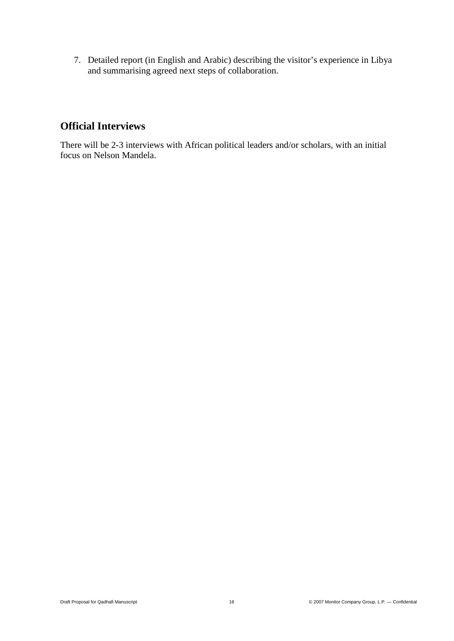7. Detailed report (in English and Arabic) describing the visitor's experience in Libya and summarising agreed next steps of collaboration.

# **Official Interviews**

There will be 2-3 interviews with African political leaders and/or scholars, with an initial focus on Nelson Mandela.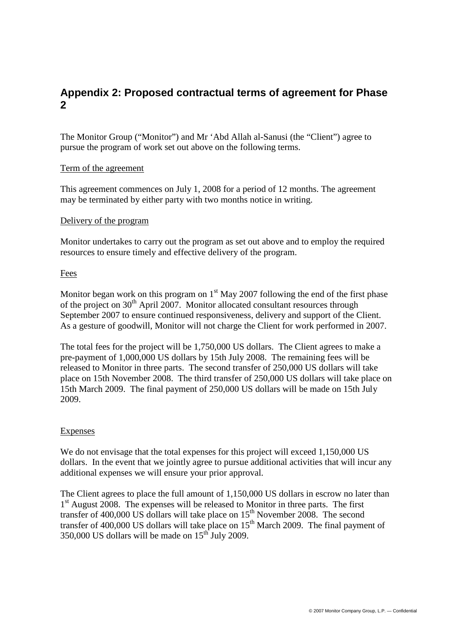## **Appendix 2: Proposed contractual terms of agreement for Phase 2**

The Monitor Group ("Monitor") and Mr 'Abd Allah al-Sanusi (the "Client") agree to pursue the program of work set out above on the following terms.

#### Term of the agreement

This agreement commences on July 1, 2008 for a period of 12 months. The agreement may be terminated by either party with two months notice in writing.

#### Delivery of the program

Monitor undertakes to carry out the program as set out above and to employ the required resources to ensure timely and effective delivery of the program.

#### Fees

Monitor began work on this program on  $1<sup>st</sup>$  May 2007 following the end of the first phase of the project on  $30<sup>th</sup>$  April 2007. Monitor allocated consultant resources through September 2007 to ensure continued responsiveness, delivery and support of the Client. As a gesture of goodwill, Monitor will not charge the Client for work performed in 2007.

The total fees for the project will be 1,750,000 US dollars. The Client agrees to make a pre-payment of 1,000,000 US dollars by 15th July 2008. The remaining fees will be released to Monitor in three parts. The second transfer of 250,000 US dollars will take place on 15th November 2008. The third transfer of 250,000 US dollars will take place on 15th March 2009. The final payment of 250,000 US dollars will be made on 15th July 2009.

#### Expenses

We do not envisage that the total expenses for this project will exceed 1,150,000 US dollars. In the event that we jointly agree to pursue additional activities that will incur any additional expenses we will ensure your prior approval.

The Client agrees to place the full amount of 1,150,000 US dollars in escrow no later than 1<sup>st</sup> August 2008. The expenses will be released to Monitor in three parts. The first transfer of 400,000 US dollars will take place on  $15<sup>th</sup>$  November 2008. The second transfer of 400,000 US dollars will take place on  $15<sup>th</sup>$  March 2009. The final payment of  $350,000$  US dollars will be made on  $15^{th}$  July 2009.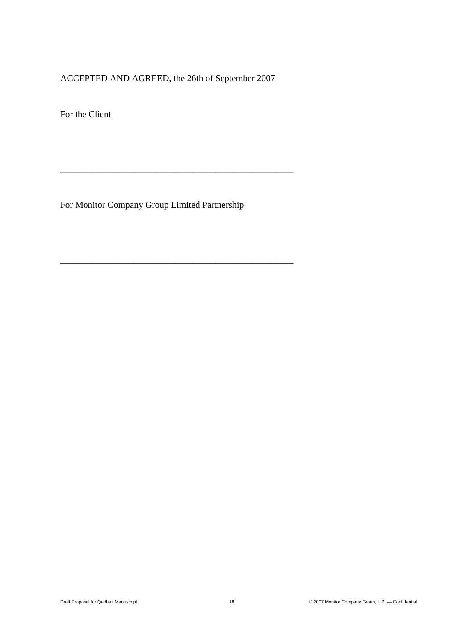## ACCEPTED AND AGREED, the 26th of September 2007

\_\_\_\_\_\_\_\_\_\_\_\_\_\_\_\_\_\_\_\_\_\_\_\_\_\_\_\_\_\_\_\_\_\_\_\_\_\_\_\_\_\_\_\_\_\_\_\_\_\_\_

\_\_\_\_\_\_\_\_\_\_\_\_\_\_\_\_\_\_\_\_\_\_\_\_\_\_\_\_\_\_\_\_\_\_\_\_\_\_\_\_\_\_\_\_\_\_\_\_\_\_\_

For the Client

For Monitor Company Group Limited Partnership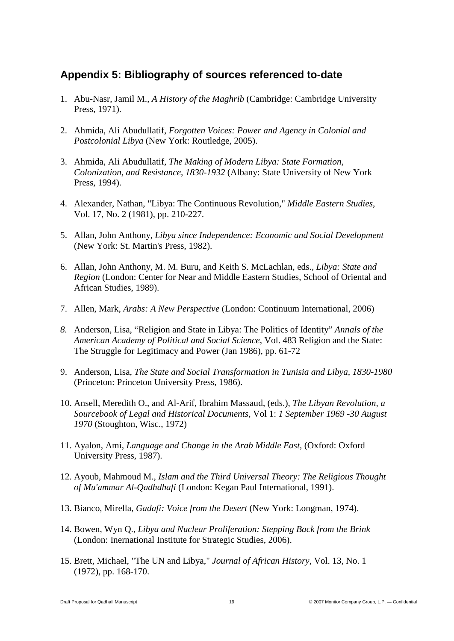## **Appendix 5: Bibliography of sources referenced to-date**

- 1. Abu-Nasr, Jamil M., *A History of the Maghrib* (Cambridge: Cambridge University Press, 1971).
- 2. Ahmida, Ali Abudullatif, *Forgotten Voices: Power and Agency in Colonial and Postcolonial Libya* (New York: Routledge, 2005).
- 3. Ahmida, Ali Abudullatif, *The Making of Modern Libya: State Formation, Colonization, and Resistance, 1830-1932* (Albany: State University of New York Press, 1994).
- 4. Alexander, Nathan, "Libya: The Continuous Revolution," *Middle Eastern Studies*, Vol. 17, No. 2 (1981), pp. 210-227.
- 5. Allan, John Anthony, *Libya since Independence: Economic and Social Development* (New York: St. Martin's Press, 1982).
- 6. Allan, John Anthony, M. M. Buru, and Keith S. McLachlan, eds., *Libya: State and Region* (London: Center for Near and Middle Eastern Studies, School of Oriental and African Studies, 1989).
- 7. Allen, Mark, *Arabs: A New Perspective* (London: Continuum International, 2006)
- *8.* Anderson, Lisa, "Religion and State in Libya: The Politics of Identity" *Annals of the American Academy of Political and Social Science*, Vol. 483 Religion and the State: The Struggle for Legitimacy and Power (Jan 1986), pp. 61-72
- 9. Anderson, Lisa, *The State and Social Transformation in Tunisia and Libya, 1830-1980* (Princeton: Princeton University Press, 1986).
- 10. Ansell, Meredith O., and Al-Arif, Ibrahim Massaud, (eds.), *The Libyan Revolution, a Sourcebook of Legal and Historical Documents*, Vol 1: *1 September 1969 -30 August 1970* (Stoughton, Wisc., 1972)
- 11. Ayalon, Ami, *Language and Change in the Arab Middle East,* (Oxford: Oxford University Press, 1987).
- 12. Ayoub, Mahmoud M., *Islam and the Third Universal Theory: The Religious Thought of Mu'ammar Al-Qadhdhafi* (London: Kegan Paul International, 1991).
- 13. Bianco, Mirella, *Gadafi: Voice from the Desert* (New York: Longman, 1974).
- 14. Bowen, Wyn Q., *Libya and Nuclear Proliferation: Stepping Back from the Brink* (London: Inernational Institute for Strategic Studies, 2006).
- 15. Brett, Michael, "The UN and Libya," *Journal of African History*, Vol. 13, No. 1 (1972), pp. 168-170.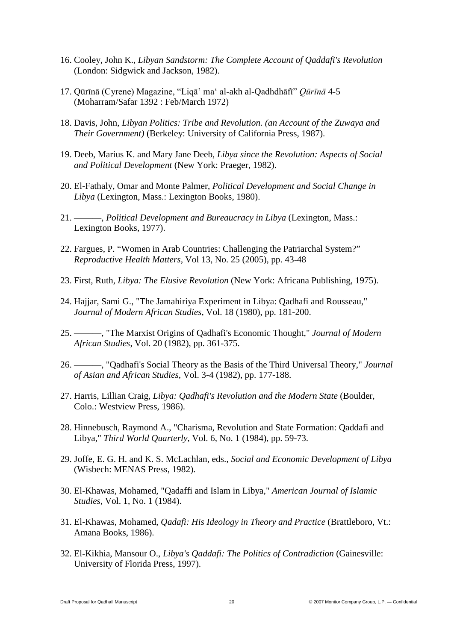- 16. Cooley, John K., *Libyan Sandstorm: The Complete Account of Qaddafi's Revolution* (London: Sidgwick and Jackson, 1982).
- 17. Qūrīnā (Cyrene) Magazine, "Liqā' ma' al-akh al-Qadhdhāfī" *Qūrīnā* 4-5 (Moharram/Safar 1392 : Feb/March 1972)
- 18. Davis, John, *Libyan Politics: Tribe and Revolution. (an Account of the Zuwaya and Their Government)* (Berkeley: University of California Press, 1987).
- 19. Deeb, Marius K. and Mary Jane Deeb, *Libya since the Revolution: Aspects of Social and Political Development* (New York: Praeger, 1982).
- 20. El-Fathaly, Omar and Monte Palmer, *Political Development and Social Change in Libya* (Lexington, Mass.: Lexington Books, 1980).
- 21. ———, *Political Development and Bureaucracy in Libya* (Lexington, Mass.: Lexington Books, 1977).
- 22. Fargues, P. "Women in Arab Countries: Challenging the Patriarchal System?" *Reproductive Health Matters,* Vol 13, No. 25 (2005), pp. 43-48
- 23. First, Ruth, *Libya: The Elusive Revolution* (New York: Africana Publishing, 1975).
- 24. Hajjar, Sami G., "The Jamahiriya Experiment in Libya: Qadhafi and Rousseau," *Journal of Modern African Studies*, Vol. 18 (1980), pp. 181-200.
- 25. ———, "The Marxist Origins of Qadhafi's Economic Thought," *Journal of Modern African Studies*, Vol. 20 (1982), pp. 361-375.
- 26. ———, "Qadhafi's Social Theory as the Basis of the Third Universal Theory," *Journal of Asian and African Studies*, Vol. 3-4 (1982), pp. 177-188.
- 27. Harris, Lillian Craig, *Libya: Qadhafi's Revolution and the Modern State* (Boulder, Colo.: Westview Press, 1986).
- 28. Hinnebusch, Raymond A., "Charisma, Revolution and State Formation: Qaddafi and Libya," *Third World Quarterly*, Vol. 6, No. 1 (1984), pp. 59-73.
- 29. Joffe, E. G. H. and K. S. McLachlan, eds., *Social and Economic Development of Libya* (Wisbech: MENAS Press, 1982).
- 30. El-Khawas, Mohamed, "Qadaffi and Islam in Libya," *American Journal of Islamic Studies*, Vol. 1, No. 1 (1984).
- 31. El-Khawas, Mohamed, *Qadafi: His Ideology in Theory and Practice* (Brattleboro, Vt.: Amana Books, 1986).
- 32. El-Kikhia, Mansour O., *Libya's Qaddafi: The Politics of Contradiction* (Gainesville: University of Florida Press, 1997).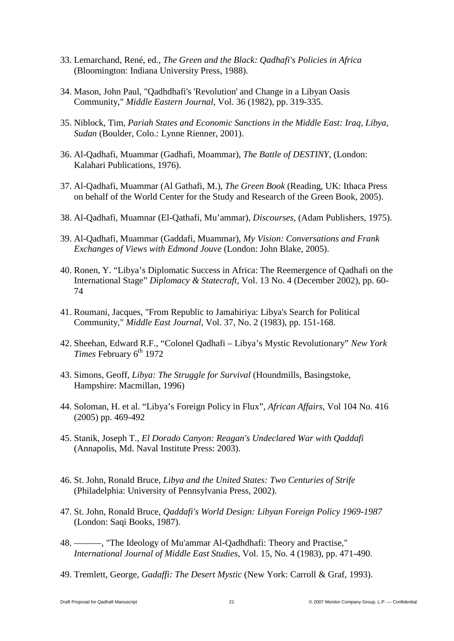- 33. Lemarchand, René, ed., *The Green and the Black: Qadhafi's Policies in Africa* (Bloomington: Indiana University Press, 1988).
- 34. Mason, John Paul, "Qadhdhafi's 'Revolution' and Change in a Libyan Oasis Community," *Middle Eastern Journal*, Vol. 36 (1982), pp. 319-335.
- 35. Niblock, Tim, *Pariah States and Economic Sanctions in the Middle East: Iraq, Libya, Sudan* (Boulder, Colo.: Lynne Rienner, 2001).
- 36. Al-Qadhafi, Muammar (Gadhafi, Moammar), *The Battle of DESTINY*, (London: Kalahari Publications, 1976).
- 37. Al-Qadhafi, Muammar (Al Gathafi, M.), *The Green Book* (Reading, UK: Ithaca Press on behalf of the World Center for the Study and Research of the Green Book, 2005).
- 38. Al-Qadhafi, Muamnar (El-Qathafi, Mu'ammar), *Discourses*, (Adam Publishers, 1975).
- 39. Al-Qadhafi, Muammar (Gaddafi, Muammar), *My Vision: Conversations and Frank Exchanges of Views with Edmond Jouve* (London: John Blake, 2005).
- 40. Ronen, Y. "Libya's Diplomatic Success in Africa: The Reemergence of Qadhafi on the International Stage" *Diplomacy & Statecraft*, Vol. 13 No. 4 (December 2002), pp. 60- 74
- 41. Roumani, Jacques, "From Republic to Jamahiriya: Libya's Search for Political Community," *Middle East Journal*, Vol. 37, No. 2 (1983), pp. 151-168.
- 42. Sheehan, Edward R.F., "Colonel Qadhafi Libya's Mystic Revolutionary" *New York Times* February 6<sup>th</sup> 1972
- 43. Simons, Geoff, *Libya: The Struggle for Survival* (Houndmills, Basingstoke, Hampshire: Macmillan, 1996)
- 44. Soloman, H. et al. "Libya's Foreign Policy in Flux", *African Affairs*, Vol 104 No. 416 (2005) pp. 469-492
- 45. Stanik, Joseph T., *El Dorado Canyon: Reagan's Undeclared War with Qaddafi* (Annapolis, Md. Naval Institute Press: 2003).
- 46. St. John, Ronald Bruce, *Libya and the United States: Two Centuries of Strife* (Philadelphia: University of Pennsylvania Press, 2002).
- 47. St. John, Ronald Bruce, *Qaddafi's World Design: Libyan Foreign Policy 1969-1987* (London: Saqi Books, 1987).
- 48. ———, "The Ideology of Mu'ammar Al-Qadhdhafi: Theory and Practise," *International Journal of Middle East Studies*, Vol. 15, No. 4 (1983), pp. 471-490.
- 49. Tremlett, George, *Gadaffi: The Desert Mystic* (New York: Carroll & Graf, 1993).